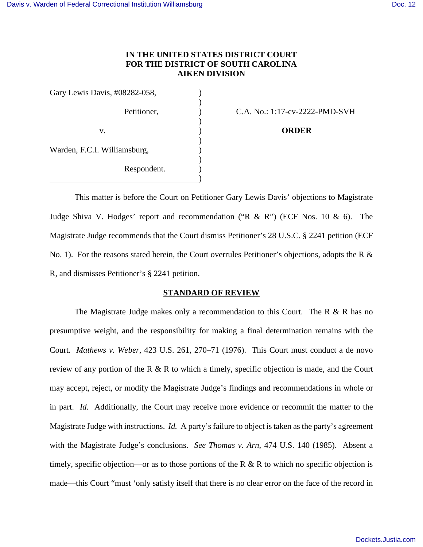## **IN THE UNITED STATES DISTRICT COURT FOR THE DISTRICT OF SOUTH CAROLINA AIKEN DIVISION**

 $\lambda$ 

Gary Lewis Davis, #08282-058, )  $\overline{\phantom{a}}$ v. ) **ORDER**  $\overline{\phantom{a}}$ Warden, F.C.I. Williamsburg, )  $)$  Respondent. ) )

Petitioner, (a) C.A. No.: 1:17-cv-2222-PMD-SVH

This matter is before the Court on Petitioner Gary Lewis Davis' objections to Magistrate Judge Shiva V. Hodges' report and recommendation ("R  $\&$  R") (ECF Nos. 10  $\&$  6). The Magistrate Judge recommends that the Court dismiss Petitioner's 28 U.S.C. § 2241 petition (ECF No. 1). For the reasons stated herein, the Court overrules Petitioner's objections, adopts the R & R, and dismisses Petitioner's § 2241 petition.

### **STANDARD OF REVIEW**

The Magistrate Judge makes only a recommendation to this Court. The R & R has no presumptive weight, and the responsibility for making a final determination remains with the Court. *Mathews v. Weber*, 423 U.S. 261, 270–71 (1976). This Court must conduct a de novo review of any portion of the R & R to which a timely, specific objection is made, and the Court may accept, reject, or modify the Magistrate Judge's findings and recommendations in whole or in part. *Id.* Additionally, the Court may receive more evidence or recommit the matter to the Magistrate Judge with instructions. *Id.* A party's failure to object is taken as the party's agreement with the Magistrate Judge's conclusions. *See Thomas v. Arn*, 474 U.S. 140 (1985). Absent a timely, specific objection—or as to those portions of the R  $\&$  R to which no specific objection is made—this Court "must 'only satisfy itself that there is no clear error on the face of the record in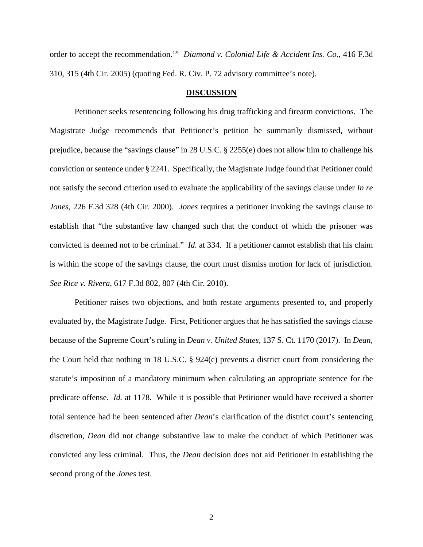order to accept the recommendation.'" *Diamond v. Colonial Life & Accident Ins. Co*., 416 F.3d 310, 315 (4th Cir. 2005) (quoting Fed. R. Civ. P. 72 advisory committee's note).

#### **DISCUSSION**

Petitioner seeks resentencing following his drug trafficking and firearm convictions. The Magistrate Judge recommends that Petitioner's petition be summarily dismissed, without prejudice, because the "savings clause" in 28 U.S.C. § 2255(e) does not allow him to challenge his conviction or sentence under § 2241. Specifically, the Magistrate Judge found that Petitioner could not satisfy the second criterion used to evaluate the applicability of the savings clause under *In re Jones*, 226 F.3d 328 (4th Cir. 2000). *Jones* requires a petitioner invoking the savings clause to establish that "the substantive law changed such that the conduct of which the prisoner was convicted is deemed not to be criminal." *Id.* at 334. If a petitioner cannot establish that his claim is within the scope of the savings clause, the court must dismiss motion for lack of jurisdiction. *See Rice v. Rivera*, 617 F.3d 802, 807 (4th Cir. 2010).

Petitioner raises two objections, and both restate arguments presented to, and properly evaluated by, the Magistrate Judge. First, Petitioner argues that he has satisfied the savings clause because of the Supreme Court's ruling in *Dean v. United States*, 137 S. Ct. 1170 (2017). In *Dean*, the Court held that nothing in 18 U.S.C. § 924(c) prevents a district court from considering the statute's imposition of a mandatory minimum when calculating an appropriate sentence for the predicate offense. *Id.* at 1178. While it is possible that Petitioner would have received a shorter total sentence had he been sentenced after *Dean*'s clarification of the district court's sentencing discretion, *Dean* did not change substantive law to make the conduct of which Petitioner was convicted any less criminal. Thus, the *Dean* decision does not aid Petitioner in establishing the second prong of the *Jones* test.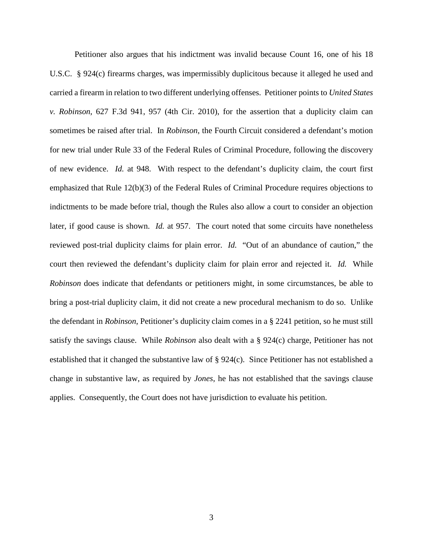Petitioner also argues that his indictment was invalid because Count 16, one of his 18 U.S.C. § 924(c) firearms charges, was impermissibly duplicitous because it alleged he used and carried a firearm in relation to two different underlying offenses. Petitioner points to *United States v. Robinson*, 627 F.3d 941, 957 (4th Cir. 2010), for the assertion that a duplicity claim can sometimes be raised after trial. In *Robinson*, the Fourth Circuit considered a defendant's motion for new trial under Rule 33 of the Federal Rules of Criminal Procedure, following the discovery of new evidence. *Id.* at 948. With respect to the defendant's duplicity claim, the court first emphasized that Rule 12(b)(3) of the Federal Rules of Criminal Procedure requires objections to indictments to be made before trial, though the Rules also allow a court to consider an objection later, if good cause is shown. *Id.* at 957. The court noted that some circuits have nonetheless reviewed post-trial duplicity claims for plain error. *Id.* "Out of an abundance of caution," the court then reviewed the defendant's duplicity claim for plain error and rejected it. *Id.* While *Robinson* does indicate that defendants or petitioners might, in some circumstances, be able to bring a post-trial duplicity claim, it did not create a new procedural mechanism to do so. Unlike the defendant in *Robinson*, Petitioner's duplicity claim comes in a § 2241 petition, so he must still satisfy the savings clause. While *Robinson* also dealt with a § 924(c) charge, Petitioner has not established that it changed the substantive law of § 924(c). Since Petitioner has not established a change in substantive law, as required by *Jones*, he has not established that the savings clause applies. Consequently, the Court does not have jurisdiction to evaluate his petition.